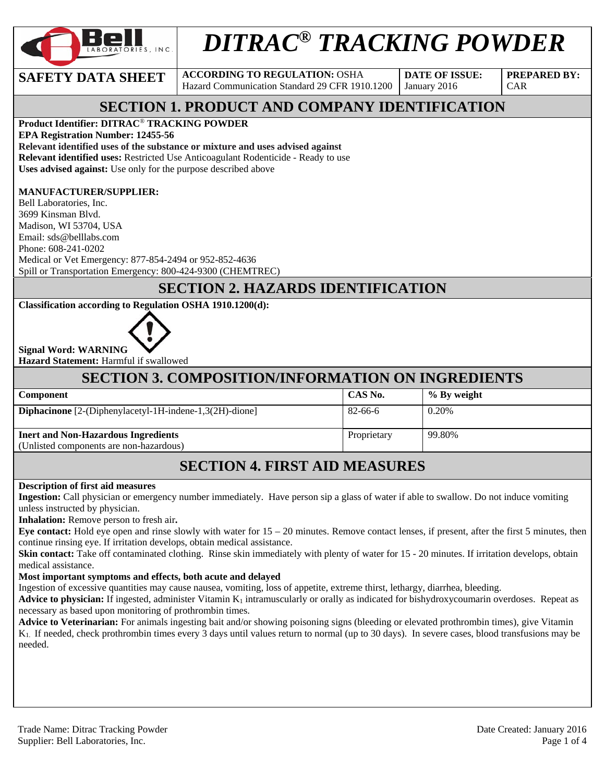

# *DITRAC® TRACKING POWDER*

**SAFETY DATA SHEET** ACCORDING TO REGULATION: OSHA Hazard Communication Standard 29 CFR 1910.1200 **DATE OF ISSUE:**  January 2016

**PREPARED BY:**  CAR

### **SECTION 1. PRODUCT AND COMPANY IDENTIFICATION**

#### **Product Identifier: DITRAC**® **TRACKING POWDER**

**EPA Registration Number: 12455-56** 

**Relevant identified uses of the substance or mixture and uses advised against**

**Relevant identified uses:** Restricted Use Anticoagulant Rodenticide - Ready to use

**Uses advised against:** Use only for the purpose described above

#### **MANUFACTURER/SUPPLIER:**

Bell Laboratories, Inc. 3699 Kinsman Blvd. Madison, WI 53704, USA Email: sds@belllabs.com Phone: 608-241-0202 Medical or Vet Emergency: 877-854-2494 or 952-852-4636 Spill or Transportation Emergency: 800-424-9300 (CHEMTREC)

#### **SECTION 2. HAZARDS IDENTIFICATION**

#### **Classification according to Regulation OSHA 1910.1200(d):**



**Signal Word: WARNING Hazard Statement:** Harmful if swallowed

### **SECTION 3. COMPOSITION/INFORMATION ON INGREDIENTS**

| <b>Component</b>                                                 | CAS No.     | % By weight |
|------------------------------------------------------------------|-------------|-------------|
| <b>Diphacinone</b> $[2-(Diphenylacetyl-1H-indene-1,3(2H)-dione]$ | 82-66-6     | 0.20%       |
| <b>Inert and Non-Hazardous Ingredients</b>                       | Proprietary | 99.80%      |
| (Unlisted components are non-hazardous)                          |             |             |

### **SECTION 4. FIRST AID MEASURES**

#### **Description of first aid measures**

**Ingestion:** Call physician or emergency number immediately. Have person sip a glass of water if able to swallow. Do not induce vomiting unless instructed by physician.

**Inhalation:** Remove person to fresh air**.** 

**Eye contact:** Hold eye open and rinse slowly with water for 15 – 20 minutes. Remove contact lenses, if present, after the first 5 minutes, then continue rinsing eye. If irritation develops, obtain medical assistance.

**Skin contact:** Take off contaminated clothing. Rinse skin immediately with plenty of water for 15 - 20 minutes. If irritation develops, obtain medical assistance.

#### **Most important symptoms and effects, both acute and delayed**

Ingestion of excessive quantities may cause nausea, vomiting, loss of appetite, extreme thirst, lethargy, diarrhea, bleeding.

**Advice to physician:** If ingested, administer Vitamin  $K_1$  intramuscularly or orally as indicated for bishydroxycoumarin overdoses. Repeat as necessary as based upon monitoring of prothrombin times.

**Advice to Veterinarian:** For animals ingesting bait and/or showing poisoning signs (bleeding or elevated prothrombin times), give Vitamin K1. If needed, check prothrombin times every 3 days until values return to normal (up to 30 days). In severe cases, blood transfusions may be needed.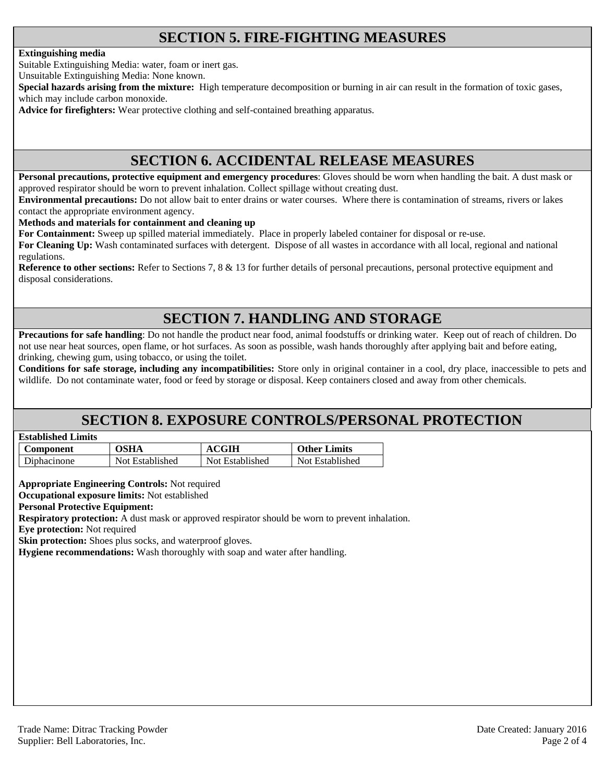### **SECTION 5. FIRE-FIGHTING MEASURES**

#### **Extinguishing media**

Suitable Extinguishing Media: water, foam or inert gas.

Unsuitable Extinguishing Media: None known.

**Special hazards arising from the mixture:** High temperature decomposition or burning in air can result in the formation of toxic gases, which may include carbon monoxide.

**Advice for firefighters:** Wear protective clothing and self-contained breathing apparatus.

### **SECTION 6. ACCIDENTAL RELEASE MEASURES**

**Personal precautions, protective equipment and emergency procedures**: Gloves should be worn when handling the bait. A dust mask or approved respirator should be worn to prevent inhalation. Collect spillage without creating dust.

**Environmental precautions:** Do not allow bait to enter drains or water courses. Where there is contamination of streams, rivers or lakes contact the appropriate environment agency.

**Methods and materials for containment and cleaning up**

**For Containment:** Sweep up spilled material immediately. Place in properly labeled container for disposal or re-use.

**For Cleaning Up:** Wash contaminated surfaces with detergent. Dispose of all wastes in accordance with all local, regional and national regulations.

**Reference to other sections:** Refer to Sections 7, 8 & 13 for further details of personal precautions, personal protective equipment and disposal considerations.

### **SECTION 7. HANDLING AND STORAGE**

**Precautions for safe handling**: Do not handle the product near food, animal foodstuffs or drinking water. Keep out of reach of children. Do not use near heat sources, open flame, or hot surfaces. As soon as possible, wash hands thoroughly after applying bait and before eating, drinking, chewing gum, using tobacco, or using the toilet.

**Conditions for safe storage, including any incompatibilities:** Store only in original container in a cool, dry place, inaccessible to pets and wildlife. Do not contaminate water, food or feed by storage or disposal. Keep containers closed and away from other chemicals.

### **SECTION 8. EXPOSURE CONTROLS/PERSONAL PROTECTION**

| <b>Established Limits</b> |  |
|---------------------------|--|
|                           |  |

| Component   | <b>OSHA</b>     | <b>ACGIH</b>    | <b>Other Limits</b> |
|-------------|-----------------|-----------------|---------------------|
| Diphacinone | Not Established | Not Established | Not Established     |

**Appropriate Engineering Controls:** Not required

**Occupational exposure limits:** Not established

#### **Personal Protective Equipment:**

**Respiratory protection:** A dust mask or approved respirator should be worn to prevent inhalation.

**Eye protection:** Not required

**Skin protection:** Shoes plus socks, and waterproof gloves.

**Hygiene recommendations:** Wash thoroughly with soap and water after handling.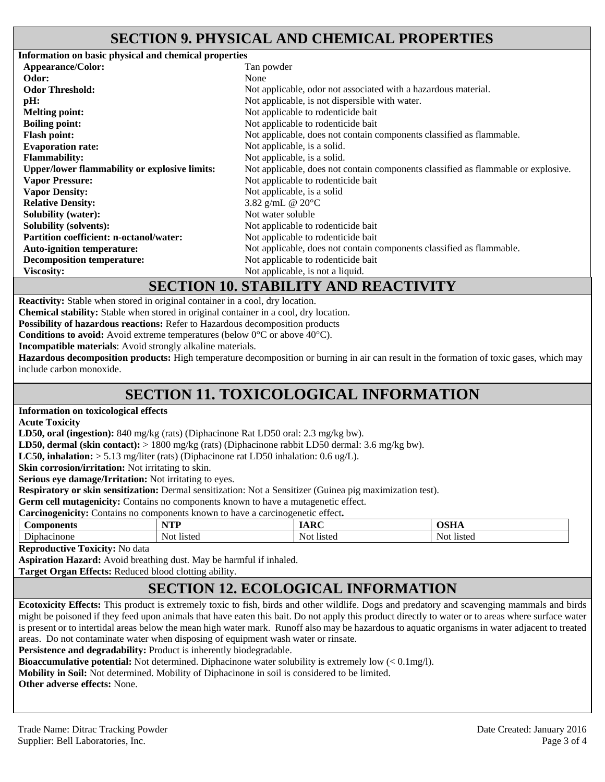### **SECTION 9. PHYSICAL AND CHEMICAL PROPERTIES**

**Information on basic physical and chemical properties Appearance/Color:** Tan powder **Odor:** None **Odor Threshold:** Not applicable, odor not associated with a hazardous material. **pH:** Not applicable, is not dispersible with water. **Melting point:** Not applicable to rodenticide bait **Boiling point:** Not applicable to rodenticide bait **Flash point:** Not applicable, does not contain components classified as flammable. **Evaporation rate:** Not applicable, is a solid. **Flammability:** Not applicable, is a solid. **Upper/lower flammability or explosive limits:** Not applicable, does not contain components classified as flammable or explosive. **Vapor Pressure: Vapor Density:**  Not applicable to rodenticide bait Not applicable, is a solid **Relative Density:**  $3.82 \text{ g/mL}$  @ 20°C **Solubility (water):** Not water soluble **Solubility (solvents): Not applicable to rodenticide bait Partition coefficient: n-octanol/water:** Not applicable to rodenticide bait **Auto-ignition temperature:** Not applicable, does not contain components classified as flammable. **Decomposition temperature:** Not applicable to rodenticide bait **Viscosity:** Not applicable, is not a liquid.

#### **SECTION 10. STABILITY AND REACTIVITY**

**Reactivity:** Stable when stored in original container in a cool, dry location.

**Chemical stability:** Stable when stored in original container in a cool, dry location.

**Possibility of hazardous reactions:** Refer to Hazardous decomposition products

**Conditions to avoid:** Avoid extreme temperatures (below 0°C or above 40°C).

**Incompatible materials**: Avoid strongly alkaline materials.

**Hazardous decomposition products:** High temperature decomposition or burning in air can result in the formation of toxic gases, which may include carbon monoxide.

### **SECTION 11. TOXICOLOGICAL INFORMATION**

**Information on toxicological effects** 

**Acute Toxicity** 

**LD50, oral (ingestion):** 840 mg/kg (rats) (Diphacinone Rat LD50 oral: 2.3 mg/kg bw).

**LD50, dermal (skin contact):** > 1800 mg/kg (rats) (Diphacinone rabbit LD50 dermal: 3.6 mg/kg bw).

**LC50, inhalation:** > 5.13 mg/liter (rats) (Diphacinone rat LD50 inhalation: 0.6 ug/L).

**Skin corrosion/irritation:** Not irritating to skin.

**Serious eye damage/Irritation:** Not irritating to eyes.

**Respiratory or skin sensitization:** Dermal sensitization: Not a Sensitizer (Guinea pig maximization test).

**Germ cell mutagenicity:** Contains no components known to have a mutagenetic effect.

**Carcinogenicity:** Contains no components known to have a carcinogenetic effect**.** 

| ∕on<br>ுபட        | vm<br>.             | $\sim$            | $\sim$ $\sim$ $\sim$<br>נטע |
|-------------------|---------------------|-------------------|-----------------------------|
| $\mathbf{r}$<br>້ | N∩t<br>1.012<br>ാധം | Not<br>. .<br>wuu | listec<br>NO1.              |

**Reproductive Toxicity:** No data

**Aspiration Hazard:** Avoid breathing dust. May be harmful if inhaled.

**Target Organ Effects:** Reduced blood clotting ability.

## **SECTION 12. ECOLOGICAL INFORMATION**

**Ecotoxicity Effects:** This product is extremely toxic to fish, birds and other wildlife. Dogs and predatory and scavenging mammals and birds might be poisoned if they feed upon animals that have eaten this bait. Do not apply this product directly to water or to areas where surface water is present or to intertidal areas below the mean high water mark. Runoff also may be hazardous to aquatic organisms in water adjacent to treated areas. Do not contaminate water when disposing of equipment wash water or rinsate.

Persistence and degradability: Product is inherently biodegradable.

**Bioaccumulative potential:** Not determined. Diphacinone water solubility is extremely low (< 0.1mg/l).

**Mobility in Soil:** Not determined. Mobility of Diphacinone in soil is considered to be limited.

**Other adverse effects:** None.